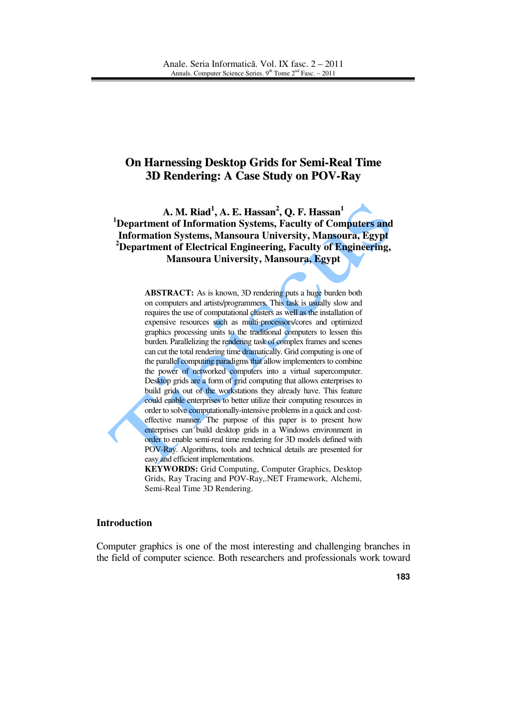# **On Harnessing Desktop Grids for Semi-Real Time 3D Rendering: A Case Study on POV-Ray**

**A. M. Riad 1 , A. E. Hassan 2 , Q. F. Hassan 1 <sup>1</sup>Department of Information Systems, Faculty of Computers and Information Systems, Mansoura University, Mansoura, Egypt <sup>2</sup>Department of Electrical Engineering, Faculty of Engineering, Mansoura University, Mansoura, Egypt** 

> **ABSTRACT:** As is known, 3D rendering puts a huge burden both on computers and artists/programmers. This task is usually slow and requires the use of computational clusters as well as the installation of expensive resources such as multi-processors/cores and optimized graphics processing units to the traditional computers to lessen this burden. Parallelizing the rendering task of complex frames and scenes can cut the total rendering time dramatically. Grid computing is one of the parallel computing paradigms that allow implementers to combine the power of networked computers into a virtual supercomputer. Desktop grids are a form of grid computing that allows enterprises to build grids out of the workstations they already have. This feature could enable enterprises to better utilize their computing resources in order to solve computationally-intensive problems in a quick and costeffective manner. The purpose of this paper is to present how enterprises can build desktop grids in a Windows environment in order to enable semi-real time rendering for 3D models defined with POV-Ray. Algorithms, tools and technical details are presented for easy and efficient implementations.

> **KEYWORDS:** Grid Computing, Computer Graphics, Desktop Grids, Ray Tracing and POV-Ray,.NET Framework, Alchemi, Semi-Real Time 3D Rendering.

#### **Introduction**

Computer graphics is one of the most interesting and challenging branches in the field of computer science. Both researchers and professionals work toward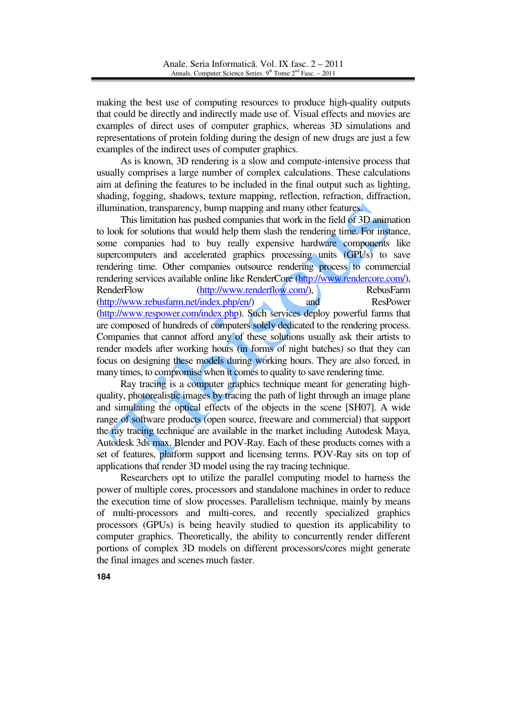making the best use of computing resources to produce high-quality outputs that could be directly and indirectly made use of. Visual effects and movies are examples of direct uses of computer graphics, whereas 3D simulations and representations of protein folding during the design of new drugs are just a few examples of the indirect uses of computer graphics.

 As is known, 3D rendering is a slow and compute-intensive process that usually comprises a large number of complex calculations. These calculations aim at defining the features to be included in the final output such as lighting, shading, fogging, shadows, texture mapping, reflection, refraction, diffraction, illumination, transparency, bump mapping and many other features.

 This limitation has pushed companies that work in the field of 3D animation to look for solutions that would help them slash the rendering time. For instance, some companies had to buy really expensive hardware components like supercomputers and accelerated graphics processing units (GPUs) to save rendering time. Other companies outsource rendering process to commercial rendering services available online like RenderCore (http://www.rendercore.com/), RenderFlow (http://www.renderflow.com/), RebusFarm (http://www.rebusfarm.net/index.php/en/) and ResPower (http://www.respower.com/index.php). Such services deploy powerful farms that are composed of hundreds of computers solely dedicated to the rendering process. Companies that cannot afford any of these solutions usually ask their artists to render models after working hours (in forms of night batches) so that they can focus on designing these models during working hours. They are also forced, in many times, to compromise when it comes to quality to save rendering time.

 Ray tracing is a computer graphics technique meant for generating highquality, photorealistic images by tracing the path of light through an image plane and simulating the optical effects of the objects in the scene [SH07]. A wide range of software products (open source, freeware and commercial) that support the ray tracing technique are available in the market including Autodesk Maya, Autodesk 3ds max, Blender and POV-Ray. Each of these products comes with a set of features, platform support and licensing terms. POV-Ray sits on top of applications that render 3D model using the ray tracing technique.

 Researchers opt to utilize the parallel computing model to harness the power of multiple cores, processors and standalone machines in order to reduce the execution time of slow processes. Parallelism technique, mainly by means of multi-processors and multi-cores, and recently specialized graphics processors (GPUs) is being heavily studied to question its applicability to computer graphics. Theoretically, the ability to concurrently render different portions of complex 3D models on different processors/cores might generate the final images and scenes much faster.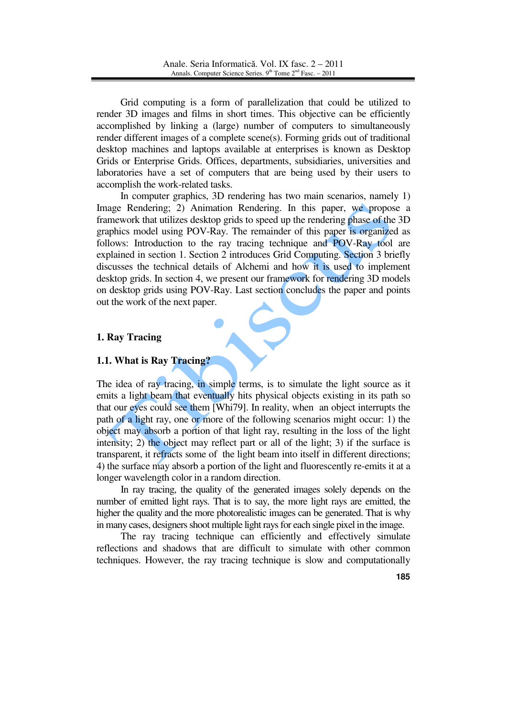Grid computing is a form of parallelization that could be utilized to render 3D images and films in short times. This objective can be efficiently accomplished by linking a (large) number of computers to simultaneously render different images of a complete scene(s). Forming grids out of traditional desktop machines and laptops available at enterprises is known as Desktop Grids or Enterprise Grids. Offices, departments, subsidiaries, universities and laboratories have a set of computers that are being used by their users to accomplish the work-related tasks.

 In computer graphics, 3D rendering has two main scenarios, namely 1) Image Rendering; 2) Animation Rendering. In this paper, we propose a framework that utilizes desktop grids to speed up the rendering phase of the 3D graphics model using POV-Ray. The remainder of this paper is organized as follows: Introduction to the ray tracing technique and POV-Ray tool are explained in section 1. Section 2 introduces Grid Computing. Section 3 briefly discusses the technical details of Alchemi and how it is used to implement desktop grids. In section 4, we present our framework for rendering 3D models on desktop grids using POV-Ray. Last section concludes the paper and points out the work of the next paper.

## **1. Ray Tracing**

#### **1.1. What is Ray Tracing?**

The idea of ray tracing, in simple terms, is to simulate the light source as it emits a light beam that eventually hits physical objects existing in its path so that our eyes could see them [Whi79]. In reality, when an object interrupts the path of a light ray, one or more of the following scenarios might occur: 1) the object may absorb a portion of that light ray, resulting in the loss of the light intensity; 2) the object may reflect part or all of the light; 3) if the surface is transparent, it refracts some of the light beam into itself in different directions; 4) the surface may absorb a portion of the light and fluorescently re-emits it at a longer wavelength color in a random direction.

 In ray tracing, the quality of the generated images solely depends on the number of emitted light rays. That is to say, the more light rays are emitted, the higher the quality and the more photorealistic images can be generated. That is why in many cases, designers shoot multiple light rays for each single pixel in the image.

 The ray tracing technique can efficiently and effectively simulate reflections and shadows that are difficult to simulate with other common techniques. However, the ray tracing technique is slow and computationally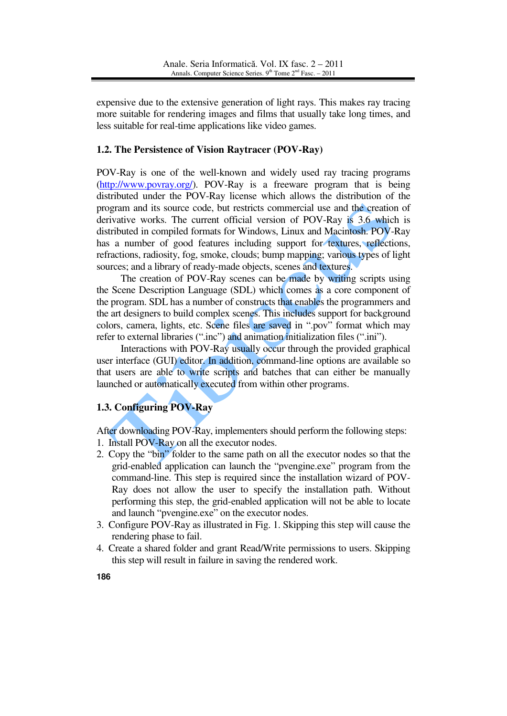expensive due to the extensive generation of light rays. This makes ray tracing more suitable for rendering images and films that usually take long times, and less suitable for real-time applications like video games.

#### **1.2. The Persistence of Vision Raytracer (POV-Ray)**

POV-Ray is one of the well-known and widely used ray tracing programs (http://www.povray.org/). POV-Ray is a freeware program that is being distributed under the POV-Ray license which allows the distribution of the program and its source code, but restricts commercial use and the creation of derivative works. The current official version of POV-Ray is 3.6 which is distributed in compiled formats for Windows, Linux and Macintosh. POV-Ray has a number of good features including support for textures, reflections, refractions, radiosity, fog, smoke, clouds; bump mapping; various types of light sources; and a library of ready-made objects, scenes and textures.

 The creation of POV-Ray scenes can be made by writing scripts using the Scene Description Language (SDL) which comes as a core component of the program. SDL has a number of constructs that enables the programmers and the art designers to build complex scenes. This includes support for background colors, camera, lights, etc. Scene files are saved in ".pov" format which may refer to external libraries (".inc") and animation initialization files (".ini").

 Interactions with POV-Ray usually occur through the provided graphical user interface (GUI) editor. In addition, command-line options are available so that users are able to write scripts and batches that can either be manually launched or automatically executed from within other programs.

## **1.3. Configuring POV-Ray**

After downloading POV-Ray, implementers should perform the following steps: 1. Install POV-Ray on all the executor nodes.

- 2. Copy the "bin" folder to the same path on all the executor nodes so that the grid-enabled application can launch the "pvengine.exe" program from the command-line. This step is required since the installation wizard of POV-Ray does not allow the user to specify the installation path. Without performing this step, the grid-enabled application will not be able to locate and launch "pvengine.exe" on the executor nodes.
- 3. Configure POV-Ray as illustrated in Fig. 1. Skipping this step will cause the rendering phase to fail.
- 4. Create a shared folder and grant Read/Write permissions to users. Skipping this step will result in failure in saving the rendered work.

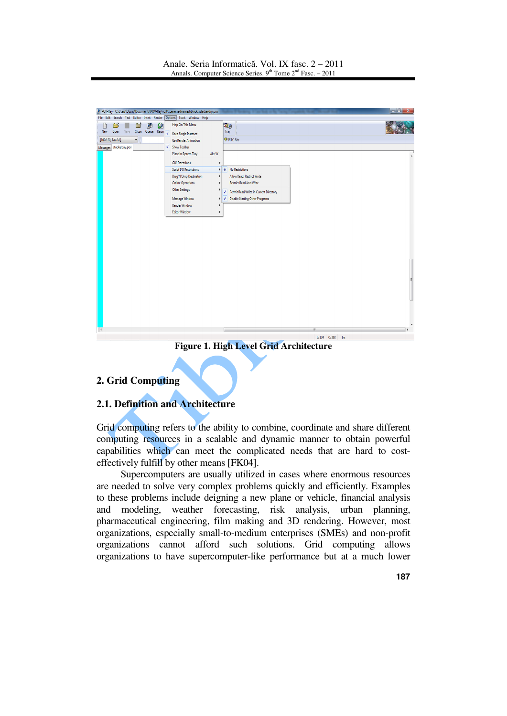Anale. Seria Informatică. Vol. IX fasc. 2 – 2011 Annals. Computer Science Series.  $9<sup>th</sup>$  Tome  $2<sup>nd</sup>$  Fasc. – 2011



**Figure 1. High Level Grid Architecture**

## **2. Grid Computing**

#### **2.1. Definition and Architecture**

Grid computing refers to the ability to combine, coordinate and share different computing resources in a scalable and dynamic manner to obtain powerful capabilities which can meet the complicated needs that are hard to costeffectively fulfill by other means [FK04].

 Supercomputers are usually utilized in cases where enormous resources are needed to solve very complex problems quickly and efficiently. Examples to these problems include deigning a new plane or vehicle, financial analysis and modeling, weather forecasting, risk analysis, urban planning, pharmaceutical engineering, film making and 3D rendering. However, most organizations, especially small-to-medium enterprises (SMEs) and non-profit organizations cannot afford such solutions. Grid computing allows organizations to have supercomputer-like performance but at a much lower

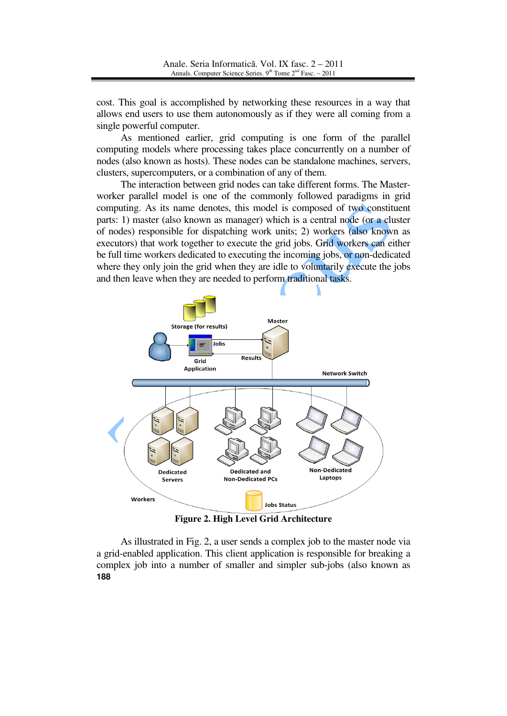cost. This goal is accomplished by networking these resources in a way that allows end users to use them autonomously as if they were all coming from a single powerful computer.

 As mentioned earlier, grid computing is one form of the parallel computing models where processing takes place concurrently on a number of nodes (also known as hosts). These nodes can be standalone machines, servers, clusters, supercomputers, or a combination of any of them.

 The interaction between grid nodes can take different forms. The Masterworker parallel model is one of the commonly followed paradigms in grid computing. As its name denotes, this model is composed of two constituent parts: 1) master (also known as manager) which is a central node (or a cluster of nodes) responsible for dispatching work units; 2) workers (also known as executors) that work together to execute the grid jobs. Grid workers can either be full time workers dedicated to executing the incoming jobs, or non-dedicated where they only join the grid when they are idle to voluntarily execute the jobs and then leave when they are needed to perform traditional tasks.



**Figure 2. High Level Grid Architecture**

**188** As illustrated in Fig. 2, a user sends a complex job to the master node via a grid-enabled application. This client application is responsible for breaking a complex job into a number of smaller and simpler sub-jobs (also known as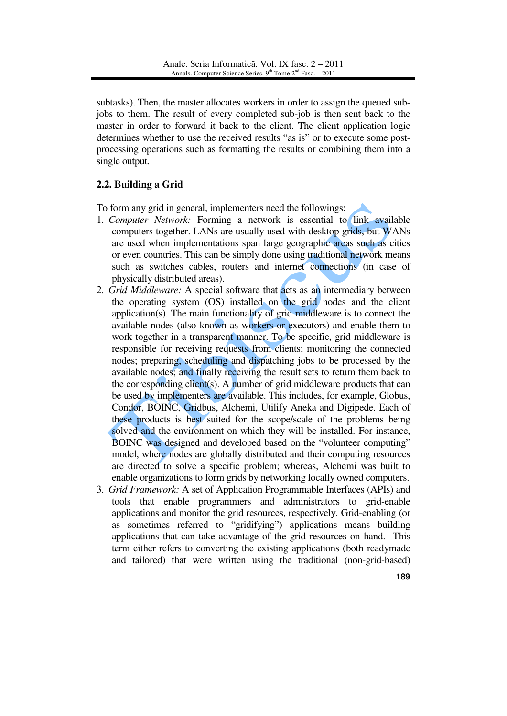subtasks). Then, the master allocates workers in order to assign the queued subjobs to them. The result of every completed sub-job is then sent back to the master in order to forward it back to the client. The client application logic determines whether to use the received results "as is" or to execute some postprocessing operations such as formatting the results or combining them into a single output.

## **2.2. Building a Grid**

To form any grid in general, implementers need the followings:

- 1. *Computer Network:* Forming a network is essential to link available computers together. LANs are usually used with desktop grids, but WANs are used when implementations span large geographic areas such as cities or even countries. This can be simply done using traditional network means such as switches cables, routers and internet connections (in case of physically distributed areas).
- 2. *Grid Middleware:* A special software that acts as an intermediary between the operating system (OS) installed on the grid nodes and the client application(s). The main functionality of grid middleware is to connect the available nodes (also known as workers or executors) and enable them to work together in a transparent manner. To be specific, grid middleware is responsible for receiving requests from clients; monitoring the connected nodes; preparing, scheduling and dispatching jobs to be processed by the available nodes; and finally receiving the result sets to return them back to the corresponding client(s). A number of grid middleware products that can be used by implementers are available. This includes, for example, Globus, Condor, BOINC, Gridbus, Alchemi, Utilify Aneka and Digipede. Each of these products is best suited for the scope/scale of the problems being solved and the environment on which they will be installed. For instance, BOINC was designed and developed based on the "volunteer computing" model, where nodes are globally distributed and their computing resources are directed to solve a specific problem; whereas, Alchemi was built to enable organizations to form grids by networking locally owned computers.
- 3. *Grid Framework:* A set of Application Programmable Interfaces (APIs) and tools that enable programmers and administrators to grid-enable applications and monitor the grid resources, respectively. Grid-enabling (or as sometimes referred to "gridifying") applications means building applications that can take advantage of the grid resources on hand. This term either refers to converting the existing applications (both readymade and tailored) that were written using the traditional (non-grid-based)
	- **189**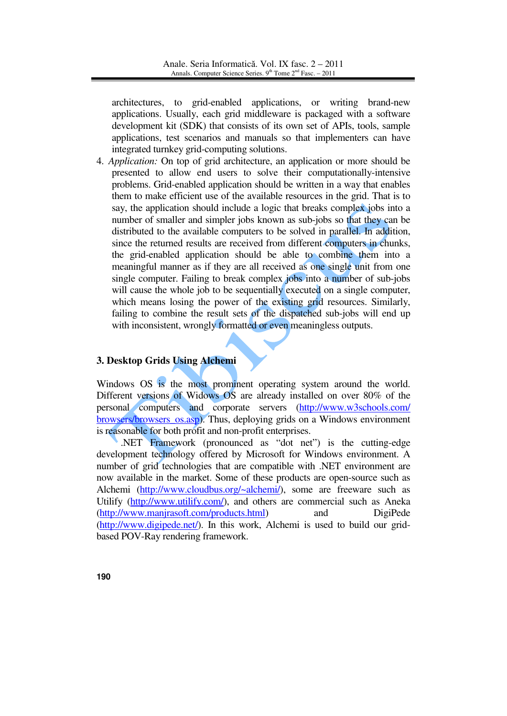architectures, to grid-enabled applications, or writing brand-new applications. Usually, each grid middleware is packaged with a software development kit (SDK) that consists of its own set of APIs, tools, sample applications, test scenarios and manuals so that implementers can have integrated turnkey grid-computing solutions.

4. *Application:* On top of grid architecture, an application or more should be presented to allow end users to solve their computationally-intensive problems. Grid-enabled application should be written in a way that enables them to make efficient use of the available resources in the grid. That is to say, the application should include a logic that breaks complex jobs into a number of smaller and simpler jobs known as sub-jobs so that they can be distributed to the available computers to be solved in parallel. In addition, since the returned results are received from different computers in chunks, the grid-enabled application should be able to combine them into a meaningful manner as if they are all received as one single unit from one single computer. Failing to break complex jobs into a number of sub-jobs will cause the whole job to be sequentially executed on a single computer, which means losing the power of the existing grid resources. Similarly, failing to combine the result sets of the dispatched sub-jobs will end up with inconsistent, wrongly formatted or even meaningless outputs.

## **3. Desktop Grids Using Alchemi**

Windows OS is the most prominent operating system around the world. Different versions of Widows OS are already installed on over 80% of the personal computers and corporate servers (http://www.w3schools.com/ browsers/browsers os.asp). Thus, deploying grids on a Windows environment is reasonable for both profit and non-profit enterprises.

 .NET Framework (pronounced as "dot net") is the cutting-edge development technology offered by Microsoft for Windows environment. A number of grid technologies that are compatible with .NET environment are now available in the market. Some of these products are open-source such as Alchemi (http://www.cloudbus.org/~alchemi/), some are freeware such as Utilify (http://www.utilify.com/), and others are commercial such as Aneka (http://www.manjrasoft.com/products.html) and DigiPede (http://www.digipede.net/). In this work, Alchemi is used to build our gridbased POV-Ray rendering framework.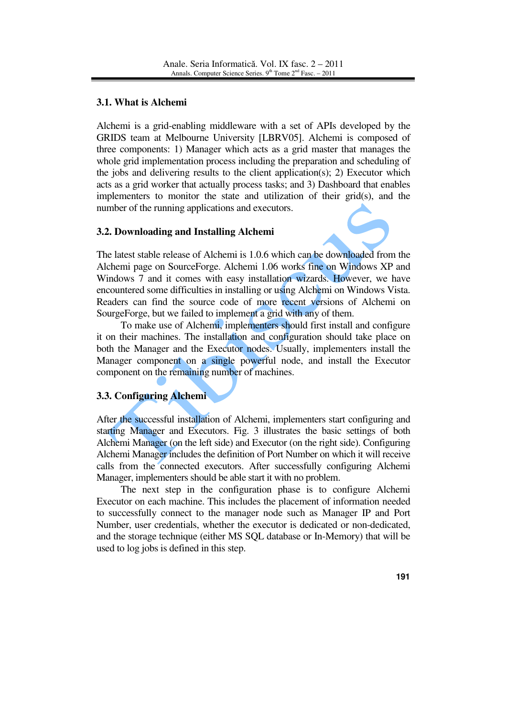## **3.1. What is Alchemi**

Alchemi is a grid-enabling middleware with a set of APIs developed by the GRIDS team at Melbourne University [LBRV05]. Alchemi is composed of three components: 1) Manager which acts as a grid master that manages the whole grid implementation process including the preparation and scheduling of the jobs and delivering results to the client application(s); 2) Executor which acts as a grid worker that actually process tasks; and 3) Dashboard that enables implementers to monitor the state and utilization of their grid(s), and the number of the running applications and executors.

## **3.2. Downloading and Installing Alchemi**

The latest stable release of Alchemi is 1.0.6 which can be downloaded from the Alchemi page on SourceForge. Alchemi 1.06 works fine on Windows XP and Windows 7 and it comes with easy installation wizards. However, we have encountered some difficulties in installing or using Alchemi on Windows Vista. Readers can find the source code of more recent versions of Alchemi on SourgeForge, but we failed to implement a grid with any of them.

 To make use of Alchemi, implementers should first install and configure it on their machines. The installation and configuration should take place on both the Manager and the Executor nodes. Usually, implementers install the Manager component on a single powerful node, and install the Executor component on the remaining number of machines.

## **3.3. Configuring Alchemi**

After the successful installation of Alchemi, implementers start configuring and starting Manager and Executors. Fig. 3 illustrates the basic settings of both Alchemi Manager (on the left side) and Executor (on the right side). Configuring Alchemi Manager includes the definition of Port Number on which it will receive calls from the connected executors. After successfully configuring Alchemi Manager, implementers should be able start it with no problem.

 The next step in the configuration phase is to configure Alchemi Executor on each machine. This includes the placement of information needed to successfully connect to the manager node such as Manager IP and Port Number, user credentials, whether the executor is dedicated or non-dedicated, and the storage technique (either MS SQL database or In-Memory) that will be used to log jobs is defined in this step.

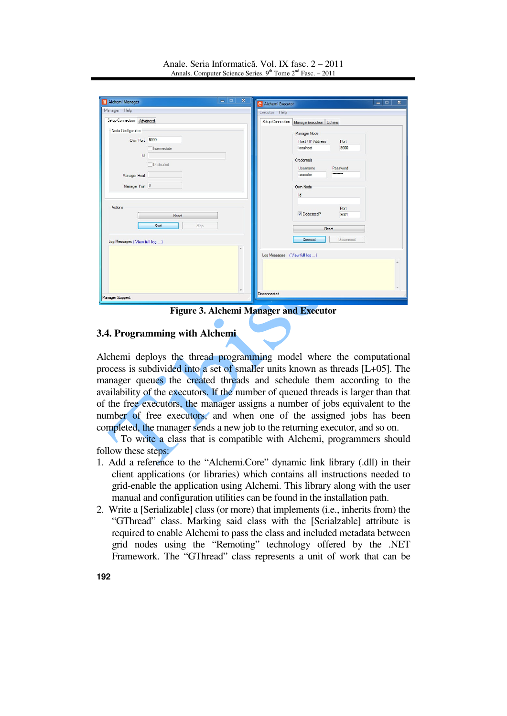Anale. Seria Informatică. Vol. IX fasc. 2 – 2011 Annals. Computer Science Series.  $9<sup>th</sup>$  Tome  $2<sup>nd</sup>$  Fasc. – 2011

|                                |               | Executor Help                 |                                               |                   |  |
|--------------------------------|---------------|-------------------------------|-----------------------------------------------|-------------------|--|
| Setup Connection Advanced      |               |                               | Setup Connection   Manage Execution   Options |                   |  |
| Node Configuration             |               |                               | Manager Node                                  |                   |  |
| Own Port 9000<br>$\mathsf{Id}$ |               |                               | Host / IP Address                             | Port              |  |
|                                | Intermediate  |                               | localhost                                     | 9000              |  |
|                                |               |                               | Credentials                                   |                   |  |
|                                | Dedicated     |                               | Username                                      | Password          |  |
| Manager Host                   |               |                               | executor                                      | --------          |  |
| Manager Port 0                 |               |                               | Own Node<br>Id                                |                   |  |
| Actions                        | Reset         |                               | Dedicated?                                    | Port<br>9001      |  |
|                                | Start<br>Stop |                               | Reset                                         |                   |  |
|                                |               |                               | Connect                                       | <b>Disconnect</b> |  |
| Log Messages (View full log )  |               |                               |                                               |                   |  |
|                                |               | Log Messages (View full log ) |                                               |                   |  |

**Figure 3. Alchemi Manager and Executor**

## **3.4. Programming with Alchemi**

Alchemi deploys the thread programming model where the computational process is subdivided into a set of smaller units known as threads [L+05]. The manager queues the created threads and schedule them according to the availability of the executors. If the number of queued threads is larger than that of the free executors, the manager assigns a number of jobs equivalent to the number of free executors, and when one of the assigned jobs has been completed, the manager sends a new job to the returning executor, and so on.

 To write a class that is compatible with Alchemi, programmers should follow these steps:

- 1. Add a reference to the "Alchemi.Core" dynamic link library (.dll) in their client applications (or libraries) which contains all instructions needed to grid-enable the application using Alchemi. This library along with the user manual and configuration utilities can be found in the installation path.
- 2. Write a [Serializable] class (or more) that implements (i.e., inherits from) the "GThread" class. Marking said class with the [Serialzable] attribute is required to enable Alchemi to pass the class and included metadata between grid nodes using the "Remoting" technology offered by the .NET Framework. The "GThread" class represents a unit of work that can be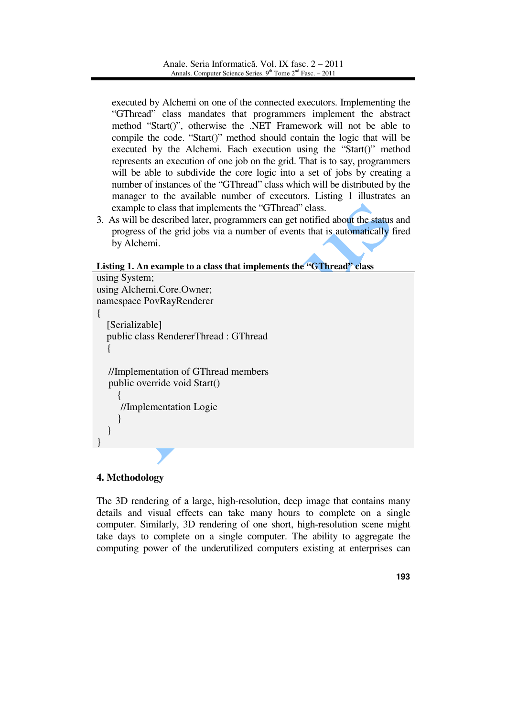executed by Alchemi on one of the connected executors. Implementing the "GThread" class mandates that programmers implement the abstract method "Start()", otherwise the .NET Framework will not be able to compile the code. "Start()" method should contain the logic that will be executed by the Alchemi. Each execution using the "Start()" method represents an execution of one job on the grid. That is to say, programmers will be able to subdivide the core logic into a set of jobs by creating a number of instances of the "GThread" class which will be distributed by the manager to the available number of executors. Listing 1 illustrates an example to class that implements the "GThread" class.

3. As will be described later, programmers can get notified about the status and progress of the grid jobs via a number of events that is automatically fired by Alchemi.

#### **Listing 1. An example to a class that implements the "GThread" class**



## **4. Methodology**

The 3D rendering of a large, high-resolution, deep image that contains many details and visual effects can take many hours to complete on a single computer. Similarly, 3D rendering of one short, high-resolution scene might take days to complete on a single computer. The ability to aggregate the computing power of the underutilized computers existing at enterprises can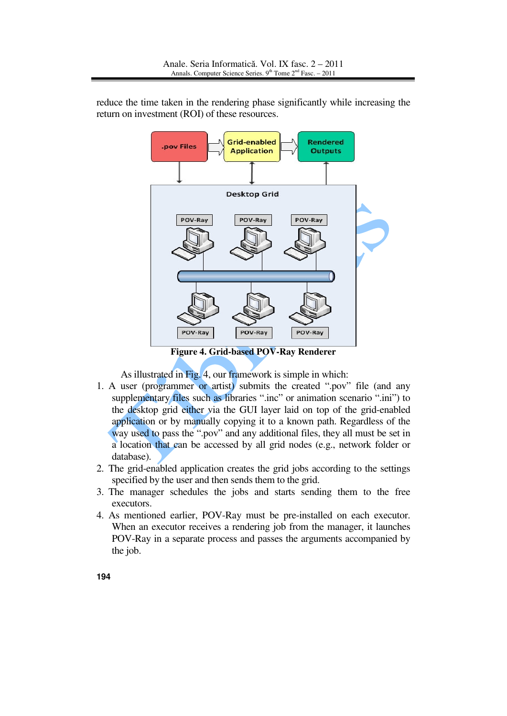reduce the time taken in the rendering phase significantly while increasing the return on investment (ROI) of these resources.



**Figure 4. Grid-based POV-Ray Renderer**

As illustrated in Fig. 4, our framework is simple in which:

- 1. A user (programmer or artist) submits the created ".pov" file (and any supplementary files such as libraries ".inc" or animation scenario ".ini") to the desktop grid either via the GUI layer laid on top of the grid-enabled application or by manually copying it to a known path. Regardless of the way used to pass the ".pov" and any additional files, they all must be set in a location that can be accessed by all grid nodes (e.g., network folder or database).
- 2. The grid-enabled application creates the grid jobs according to the settings specified by the user and then sends them to the grid.
- 3. The manager schedules the jobs and starts sending them to the free executors.
- 4. As mentioned earlier, POV-Ray must be pre-installed on each executor. When an executor receives a rendering job from the manager, it launches POV-Ray in a separate process and passes the arguments accompanied by the job.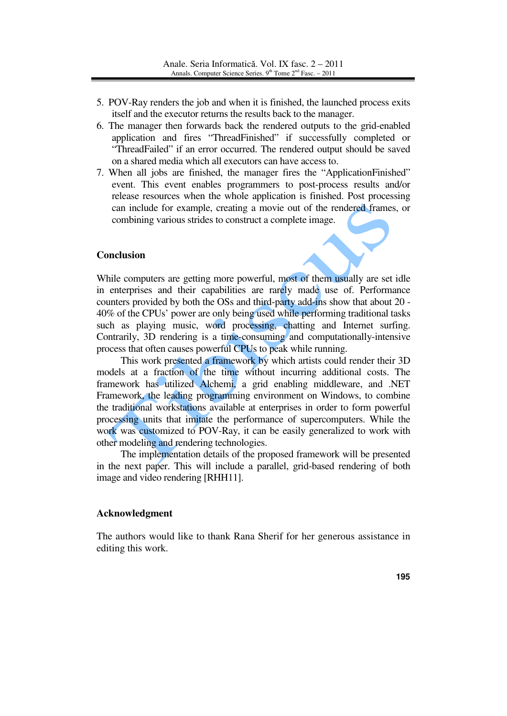- 5. POV-Ray renders the job and when it is finished, the launched process exits itself and the executor returns the results back to the manager.
- 6. The manager then forwards back the rendered outputs to the grid-enabled application and fires "ThreadFinished" if successfully completed or "ThreadFailed" if an error occurred. The rendered output should be saved on a shared media which all executors can have access to.
- 7. When all jobs are finished, the manager fires the "ApplicationFinished" event. This event enables programmers to post-process results and/or release resources when the whole application is finished. Post processing can include for example, creating a movie out of the rendered frames, or combining various strides to construct a complete image.

#### **Conclusion**

While computers are getting more powerful, most of them usually are set idle in enterprises and their capabilities are rarely made use of. Performance counters provided by both the OSs and third-party add-ins show that about 20 - 40% of the CPUs' power are only being used while performing traditional tasks such as playing music, word processing, chatting and Internet surfing. Contrarily, 3D rendering is a time-consuming and computationally-intensive process that often causes powerful CPUs to peak while running.

 This work presented a framework by which artists could render their 3D models at a fraction of the time without incurring additional costs. The framework has utilized Alchemi, a grid enabling middleware, and .NET Framework, the leading programming environment on Windows, to combine the traditional workstations available at enterprises in order to form powerful processing units that imitate the performance of supercomputers. While the work was customized to POV-Ray, it can be easily generalized to work with other modeling and rendering technologies.

 The implementation details of the proposed framework will be presented in the next paper. This will include a parallel, grid-based rendering of both image and video rendering [RHH11].

#### **Acknowledgment**

The authors would like to thank Rana Sherif for her generous assistance in editing this work.